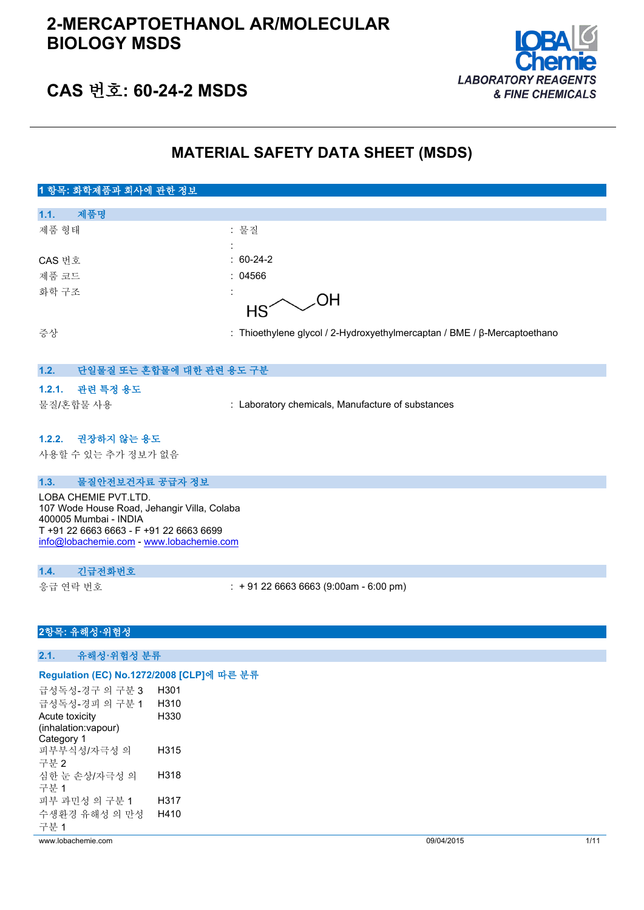

## **CAS 번호: 60-24-2 MSDS**

## **MATERIAL SAFETY DATA SHEET (MSDS)**

## **1 항목: 화학제품과 회사에 관한 정보 1.1. 제품명** 제품 형태 : 기대 : 기대 : 물질 : CAS 번호 : 60-24-2 제품 코드 : 04566 화학 구조 ΟH **HS** 증상 : Thioethylene glycol / 2-Hydroxyethylmercaptan / BME / β-Mercaptoethano **1.2. 단일물질 또는 혼합물에 대한 관련 용도 구분**

### **1.2.1. 관련 특정 용도**

물질/혼합물 사용 : Laboratory chemicals, Manufacture of substances

#### **1.2.2. 권장하지 않는 용도**

사용할 수 있는 추가 정보가 없음

#### **1.3. 물질안전보건자료 공급자 정보**

LOBA CHEMIE PVT.LTD. 107 Wode House Road, Jehangir Villa, Colaba 400005 Mumbai - INDIA T +91 22 6663 6663 - F +91 22 6663 6699 [info@lobachemie.com](mailto:info@lobachemie.com) - <www.lobachemie.com>

#### **1.4. 긴급전화번호**

응급 연락 번호 : + 91 22 6663 6663 (9:00am - 6:00 pm)

## **2항목: 유해성·위험성**

**2.1. 유해성·위험성 분류**

#### **Regulation (EC) No.1272/2008 [CLP]에 따른 분류**

급성독성-경구 의 구분 3 H301 급성독성-경피 의 구분 1 H310 Acute toxicity (inhalation:vapour) Category 1 H330 피부부식성/자극성 의 구분 2 H315 심한 눈 손상/자극성 의 구분 1 H318 피부 과민성 의 구분 1 H317 수생환경 유해성 의 만성 구분 1 H410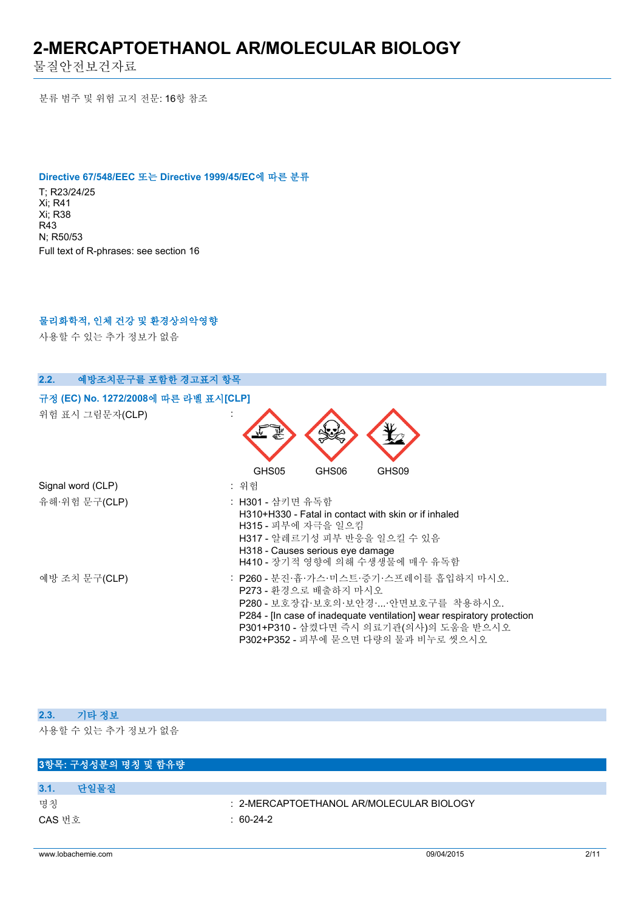물질안전보건자료

분류 범주 및 위험 고지 전문: 16항 참조

#### **Directive 67/548/EEC 또는 Directive 1999/45/EC에 따른 분류**

T; R23/24/25 Xi; R41 Xi; R38 R43 N; R50/53 Full text of R-phrases: see section 16

### **물리화학적, 인체 건강 및 환경상의악영향**

사용할 수 있는 추가 정보가 없음

| 2.2.<br>예방조치문구를 포함한 경고표지 항목          |                                                                                                                                                                                                                                                                  |  |  |
|--------------------------------------|------------------------------------------------------------------------------------------------------------------------------------------------------------------------------------------------------------------------------------------------------------------|--|--|
| 규정 (EC) No. 1272/2008에 따른 라벨 표시[CLP] |                                                                                                                                                                                                                                                                  |  |  |
| 위험 표시 그림문자(CLP)                      |                                                                                                                                                                                                                                                                  |  |  |
|                                      | GHS05<br>GHS09<br>GHS06                                                                                                                                                                                                                                          |  |  |
| Signal word (CLP)                    | : 위험                                                                                                                                                                                                                                                             |  |  |
| 유해·위험 문구(CLP)                        | : H301 - 삼키면 유독함<br>H310+H330 - Fatal in contact with skin or if inhaled<br>H315 - 피부에 자극을 일으킴<br>H317 - 알레르기성 피부 반응을 일으킬 수 있음<br>H318 - Causes serious eye damage<br>H410 - 장기적 영향에 의해 수생생물에 매우 유독함                                                             |  |  |
| 예방 조치 문구(CLP)                        | : P260 - 분진·흄·가스·미스트·증기·스프레이를 흡입하지 마시오.<br>P273 - 환경으로 배출하지 마시오<br>P280 - 보호장갑·보호의·보안경··안면보호구를 착용하시오.<br>P284 - [In case of inadequate ventilation] wear respiratory protection<br>P301+P310 - 삼켰다면 즉시 의료기관(의사)의 도움을 받으시오<br>P302+P352 - 피부에 묻으면 다량의 물과 비누로 씻으시오 |  |  |

### **2.3. 기타 정보**

사용할 수 있는 추가 정보가 없음

# **3항목: 구성성분의 명칭 및 함유량 3.1. 단일물질** 명칭 : 2-MERCAPTOETHANOL AR/MOLECULAR BIOLOGY CAS 번호 : 60-24-2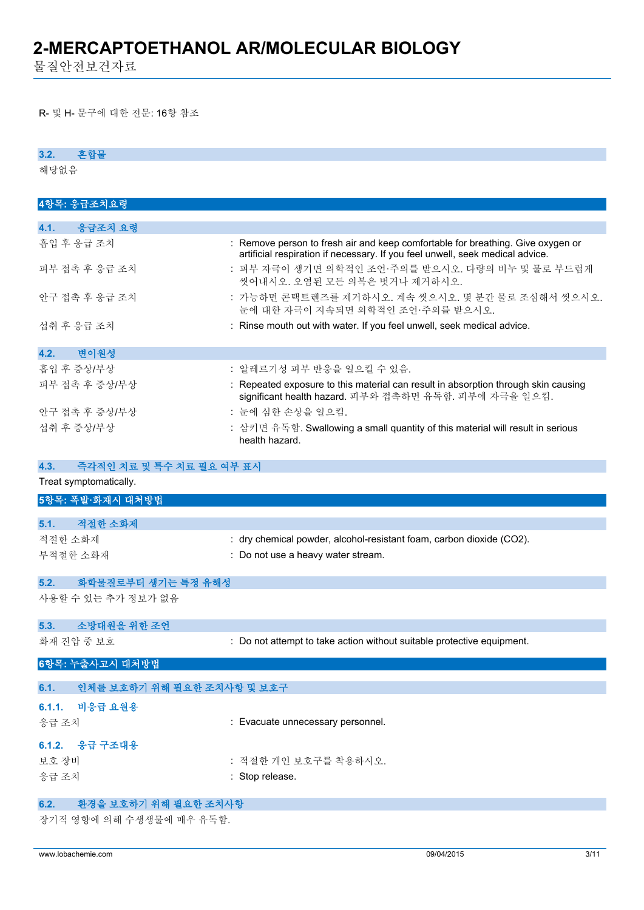물질안전보건자료

R- 및 H- 문구에 대한 전문: 16항 참조

#### **3.2. 혼합물**

해당없음

| 4항목: 응급조치요령                        |                                                                                    |
|------------------------------------|------------------------------------------------------------------------------------|
| 4.1.<br>응급조치 요령                    |                                                                                    |
| 흡입 후 응급 조치                         | : Remove person to fresh air and keep comfortable for breathing. Give oxygen or    |
|                                    | artificial respiration if necessary. If you feel unwell, seek medical advice.      |
| 피부 접촉 후 응급 조치                      | : 피부 자극이 생기면 의학적인 조언·주의를 받으시오. 다량의 비누 및 물로 부드럽게                                    |
|                                    | 씻어내시오. 오염된 모든 의복은 벗거나 제거하시오.                                                       |
| 안구 접촉 후 응급 조치                      | : 가능하면 콘택트렌즈를 제거하시오. 계속 씻으시오. 몇 분간 물로 조심해서 씻으시오.                                   |
|                                    | 눈에 대한 자극이 지속되면 의학적인 조언·주의를 받으시오.                                                   |
| 섭취 후 응급 조치                         | : Rinse mouth out with water. If you feel unwell, seek medical advice.             |
|                                    |                                                                                    |
| 변이원성<br>4.2.                       |                                                                                    |
| 흡입 후 증상/부상                         | : 알레르기성 피부 반응을 일으킬 수 있음.                                                           |
| 피부 접촉 후 증상/부상                      | : Repeated exposure to this material can result in absorption through skin causing |
|                                    | significant health hazard. 피부와 접촉하면 유독함. 피부에 자극을 일으킴.                              |
| 안구 접촉 후 증상/부상                      | : 눈에 심한 손상을 일으킴.                                                                   |
| 섭취 후 증상/부상                         | : 삼키면 유독함. Swallowing a small quantity of this material will result in serious     |
|                                    | health hazard.                                                                     |
|                                    |                                                                                    |
| 4.3.<br>즉각적인 치료 및 특수 치료 필요 여부 표시   |                                                                                    |
| Treat symptomatically.             |                                                                                    |
| 5항목: 폭발·화재시 대처방법                   |                                                                                    |
|                                    |                                                                                    |
| 적절한 소화제<br>5.1.                    |                                                                                    |
| 적절한 소화제                            | : dry chemical powder, alcohol-resistant foam, carbon dioxide (CO2).               |
| 부적절한 소화재                           | : Do not use a heavy water stream.                                                 |
|                                    |                                                                                    |
| 5.2.<br>화학물질로부터 생기는 특정 유해성         |                                                                                    |
| 사용할 수 있는 추가 정보가 없음                 |                                                                                    |
|                                    |                                                                                    |
| 소방대원을 위한 조언<br>5.3.                |                                                                                    |
| 화재 진압 중 보호                         | : Do not attempt to take action without suitable protective equipment.             |
| 6항목: 누출사고시 대처방법                    |                                                                                    |
|                                    |                                                                                    |
| 6.1.<br>인체를 보호하기 위해 필요한 조치사항 및 보호구 |                                                                                    |
| 6.1.1.<br>비응급 요원용                  |                                                                                    |
|                                    | : Evacuate unnecessary personnel.                                                  |
| 응급 조치                              |                                                                                    |
| 응급 구조대용<br>6.1.2.                  |                                                                                    |
| 보호 장비                              | : 적절한 개인 보호구를 착용하시오.                                                               |
| 응급 조치                              | : Stop release.                                                                    |
|                                    |                                                                                    |
| 환경을 보호하기 위해 필요한 조치사항<br>6.2.       |                                                                                    |

장기적 영향에 의해 수생생물에 매우 유독함.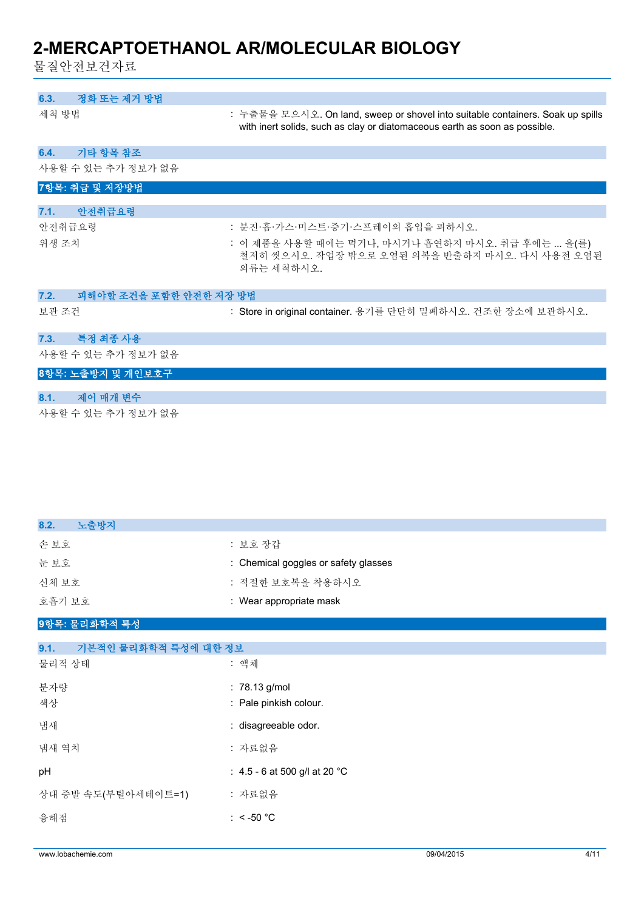물질안전보건자료

| 정화 또는 제거 방법<br>6.3.            |                                                                                                                                                              |
|--------------------------------|--------------------------------------------------------------------------------------------------------------------------------------------------------------|
| 세척 방법                          | : 누출물을 모으시오. On land, sweep or shovel into suitable containers. Soak up spills<br>with inert solids, such as clay or diatomaceous earth as soon as possible. |
| 기타 항목 참조<br>6.4.               |                                                                                                                                                              |
| 사용할 수 있는 추가 정보가 없음             |                                                                                                                                                              |
| 7항목: 취급 및 저장방법                 |                                                                                                                                                              |
| 안전취급요령<br>7.1.                 |                                                                                                                                                              |
| 안전취급요령                         | : 분진·흄·가스·미스트·증기·스프레이의 흡입을 피하시오.                                                                                                                             |
| 위생 조치                          | : 이 제품을 사용할 때에는 먹거나, 마시거나 흡연하지 마시오. 취급 후에는  을(를)<br>철저히 씻으시오. 작업장 밖으로 오염된 의복을 반출하지 마시오. 다시 사용전 오염된<br>의류는 세척하시오.                                             |
| 피해야할 조건을 포함한 안전한 저장 방법<br>7.2. |                                                                                                                                                              |
| 보관 조건                          | : Store in original container. 용기를 단단히 밀폐하시오. 건조한 장소에 보관하시오.                                                                                                 |
| 특정 최종 사용<br>7.3.               |                                                                                                                                                              |
| 사용할 수 있는 추가 정보가 없음             |                                                                                                                                                              |
| 8항목: 노출방지 및 개인보호구              |                                                                                                                                                              |
| 제어 매개 변수<br>8.1.               |                                                                                                                                                              |

사용할 수 있는 추가 정보가 없음

| 노출방지<br>8.2.                 |                                      |
|------------------------------|--------------------------------------|
| 손 보호                         | : 보호 장갑                              |
| 눈보호                          | : Chemical goggles or safety glasses |
| 신체 보호                        | : 적절한 보호복을 착용하시오                     |
| 호흡기 보호                       | : Wear appropriate mask              |
| 9항목: 물리화학적 특성                |                                      |
| 9.1.<br>기본적인 물리화학적 특성에 대한 정보 |                                      |
| 물리적 상태                       | : 액체                                 |
| 분자량                          | : 78.13 g/mol                        |
| 색상                           | : Pale pinkish colour.               |
| 냄새                           | : disagreeable odor.                 |
| 냄새 역치                        | : 자료없음                               |
| pH                           | : 4.5 - 6 at 500 g/l at 20 °C        |
| 상대 증발 속도(부틸아세테이트=1)          | : 자료없음                               |
| 융해점                          | : < -50 $^{\circ}$ C                 |
|                              |                                      |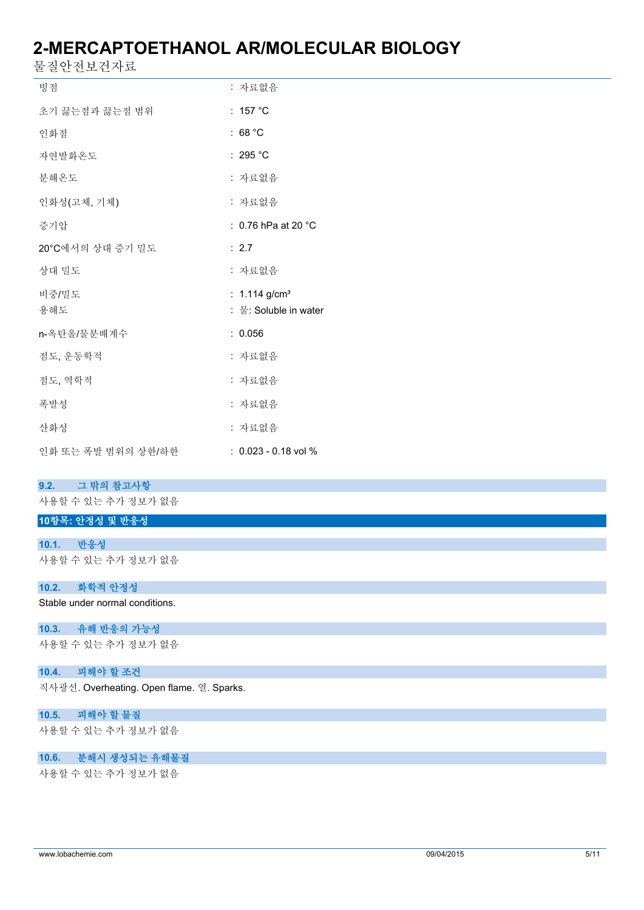물질안전보건자료

| 빙점                 | : 자료없음                        |
|--------------------|-------------------------------|
| 초기 끓는점과 끓는점 범위     | : 157 $\degree$ C             |
| 인화점                | : 68 $^{\circ}$ C             |
| 자연발화온도             | : 295 $^{\circ}$ C            |
| 분해온도               | : 자료없음                        |
| 인화성(고체, 기체)        | : 자료없음                        |
| 증기압                | : 0.76 hPa at 20 $^{\circ}$ C |
| 20°C에서의 상대 증기 밀도   | : 2.7                         |
| 상대 밀도              | : 자료없음                        |
| 비중/밀도              | : $1.114$ g/cm <sup>3</sup>   |
| 용해도                | : 물: Soluble in water         |
| n-옥탄올/물분배계수        | : 0.056                       |
| 점도, 운동학적           | : 자료없음                        |
| 점도, 역학적            | : 자료없음                        |
| 폭발성                | : 자료없음                        |
| 산화성                | : 자료없음                        |
| 인화 또는 폭발 범위의 상한/하한 | $: 0.023 - 0.18$ vol %        |

#### **9.2. 그 밖의 참고사항**

사용할 수 있는 추가 정보가 없음

## **10항목: 안정성 및 반응성**

**10.1. 반응성** 사용할 수 있는 추가 정보가 없음

#### **10.2. 화학적 안정성**

Stable under normal conditions.

#### **10.3. 유해 반응의 가능성**

사용할 수 있는 추가 정보가 없음

### **10.4. 피해야 할 조건**

직사광선. Overheating. Open flame. 열. Sparks.

#### **10.5. 피해야 할 물질**

사용할 수 있는 추가 정보가 없음

#### **10.6. 분해시 생성되는 유해물질**

사용할 수 있는 추가 정보가 없음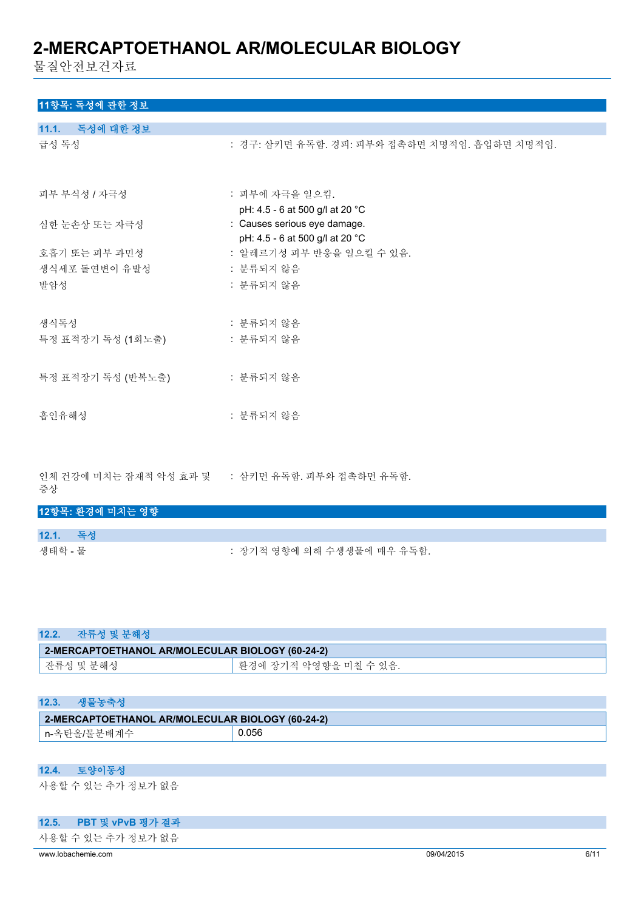물질안전보건자료

## **11항목: 독성에 관한 정보**

| 11.1. 독성에 대한 정보                   |                                                                 |
|-----------------------------------|-----------------------------------------------------------------|
| 급성 독성                             | : 경구: 삼키면 유독함. 경피: 피부와 접촉하면 치명적임. 흡입하면 치명적임.                    |
| 피부 부식성 / 자극성                      | : 피부에 자극을 일으킴.<br>pH: 4.5 - 6 at 500 g/l at 20 °C               |
| 심한 눈손상 또는 자극성                     | : Causes serious eye damage.<br>pH: 4.5 - 6 at 500 g/l at 20 °C |
| 호흡기 또는 피부 과민성                     | : 알레르기성 피부 반응을 일으킬 수 있음.                                        |
| 생식세포 돌연변이 유발성                     | : 분류되지 않음                                                       |
| 발암성                               | : 분류되지 않음                                                       |
| 생식독성                              | : 분류되지 않음                                                       |
| 특정 표적장기 독성 (1회노출) [ ] ] . 분류되지 않음 |                                                                 |
| 특정 표적장기 독성 (반복노출)                 | : 분류되지 않음                                                       |
| 흡인유해성                             | : 분류되지 않음                                                       |

인체 건강에 미치는 잠재적 악성 효과 및 : 삼키면 유독함. 피부와 접촉하면 유독함. 증상

| 12항목: 환경에 미치는 영향 |                            |
|------------------|----------------------------|
|                  |                            |
| 12.1. 독성         |                            |
| 생태학 - 물          | : 장기적 영향에 의해 수생생물에 매우 유독함. |

| 12.2.<br>잔류성 및 분해성                               |                       |  |
|--------------------------------------------------|-----------------------|--|
| 2-MERCAPTOETHANOL AR/MOLECULAR BIOLOGY (60-24-2) |                       |  |
| 잔류성 및 분해성                                        | 환경에 장기적 악영향을 미칠 수 있음. |  |

| 12.3.                                            | 새묵녹주서       |       |
|--------------------------------------------------|-------------|-------|
| 2-MERCAPTOETHANOL AR/MOLECULAR BIOLOGY (60-24-2) |             |       |
|                                                  | n-옥탄올/물분배계수 | 0.056 |

### **12.4. 토양이동성**

사용할 수 있는 추가 정보가 없음

#### **12.5. PBT 및 vPvB 평가 결과**

사용할 수 있는 추가 정보가 없음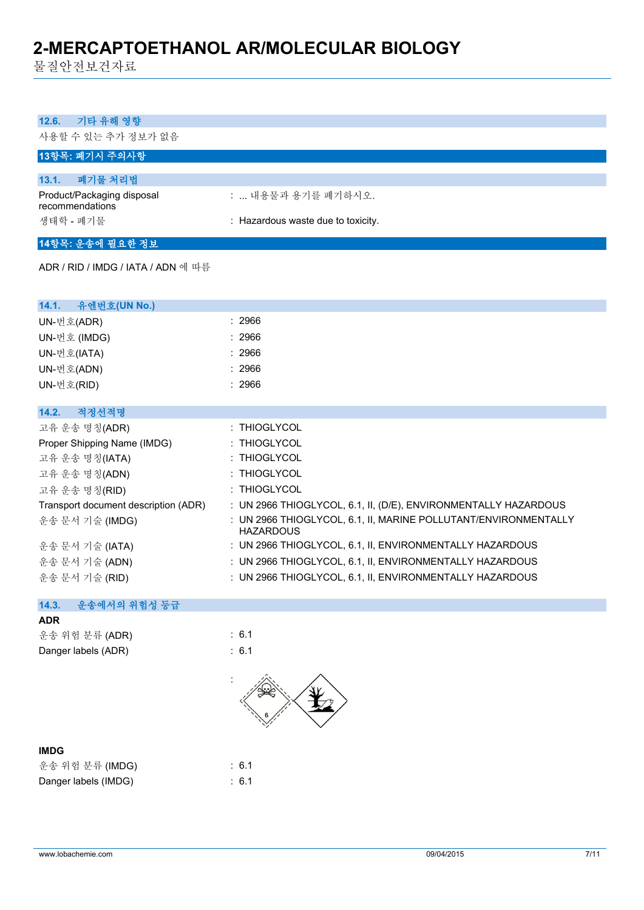물질안전보건자료

| 12.6.<br>기타 유해 영향                             |                                                                                     |
|-----------------------------------------------|-------------------------------------------------------------------------------------|
| 사용할 수 있는 추가 정보가 없음                            |                                                                                     |
| 13항목: 폐기시 주의사항                                |                                                                                     |
| 폐기물 처리법<br>13.1.                              |                                                                                     |
| Product/Packaging disposal<br>recommendations | :  내용물과 용기를 폐기하시오.                                                                  |
| 생태학 - 폐기물                                     | : Hazardous waste due to toxicity.                                                  |
| 14항목: 운송에 필요한 정보                              |                                                                                     |
| ADR / RID / IMDG / IATA / ADN 에 따름            |                                                                                     |
|                                               |                                                                                     |
| 유엔번호(UN No.)<br>14.1.                         |                                                                                     |
| UN-번호(ADR)                                    | : 2966                                                                              |
| UN-번호 (IMDG)                                  | : 2966                                                                              |
| UN-번호(IATA)                                   | : 2966                                                                              |
| UN-번호(ADN)                                    | : 2966                                                                              |
| UN-번호(RID)                                    | : 2966                                                                              |
| 14.2.<br>적정선적명                                |                                                                                     |
| 고유 운송 명칭(ADR)                                 | : THIOGLYCOL                                                                        |
| Proper Shipping Name (IMDG)                   | : THIOGLYCOL                                                                        |
| 고유 운송 명칭(IATA)                                | : THIOGLYCOL                                                                        |
| 고유 운송 명칭(ADN)                                 | : THIOGLYCOL                                                                        |
| 고유 운송 명칭(RID)                                 | : THIOGLYCOL                                                                        |
| Transport document description (ADR)          | : UN 2966 THIOGLYCOL, 6.1, II, (D/E), ENVIRONMENTALLY HAZARDOUS                     |
| 운송 문서 기술 (IMDG)                               | : UN 2966 THIOGLYCOL, 6.1, II, MARINE POLLUTANT/ENVIRONMENTALLY<br><b>HAZARDOUS</b> |
| 운송 문서 기술 (IATA)                               | : UN 2966 THIOGLYCOL, 6.1, II, ENVIRONMENTALLY HAZARDOUS                            |
| 운송 문서 기술 (ADN)                                | : UN 2966 THIOGLYCOL, 6.1, II, ENVIRONMENTALLY HAZARDOUS                            |
| 운송 문서 기술 (RID)                                | : UN 2966 THIOGLYCOL, 6.1, II, ENVIRONMENTALLY HAZARDOUS                            |
| 14.3.<br>운송에서의 위험성 등급                         |                                                                                     |
| <b>ADR</b>                                    |                                                                                     |
| 운송 위험 분류 (ADR)                                | : 6.1                                                                               |
| Danger labels (ADR)                           | : 6.1                                                                               |
|                                               |                                                                                     |

| ×<br>×<br>v |
|-------------|
|-------------|

| 운송 위험 분류 (IMDG)      |  |
|----------------------|--|
| Danger labels (IMDG) |  |

 $: 6.1$  $\therefore$  6.1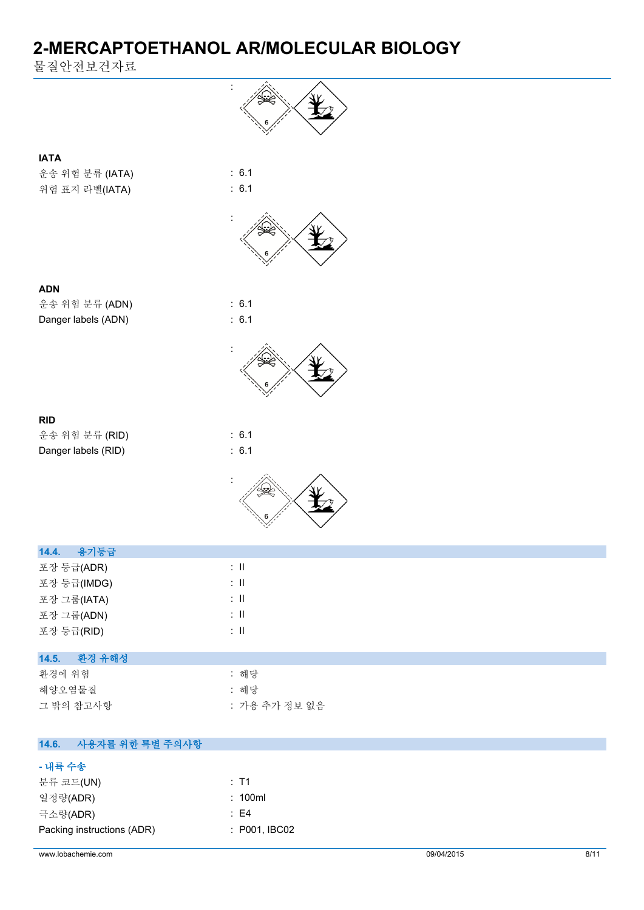물질안전보건자료

**- 내륙 수송**

분류 코드(UN) 2008 - 2009 - 2014 - 2015 - 2016 - 2016 - 2017 - 2018 - 2018 - 2019 - 2018 - 2019 - 2019 - 2018 - 20 일정량(ADR) : 100ml 극소량(ADR) : E4

Packing instructions (ADR) : P001, IBC02

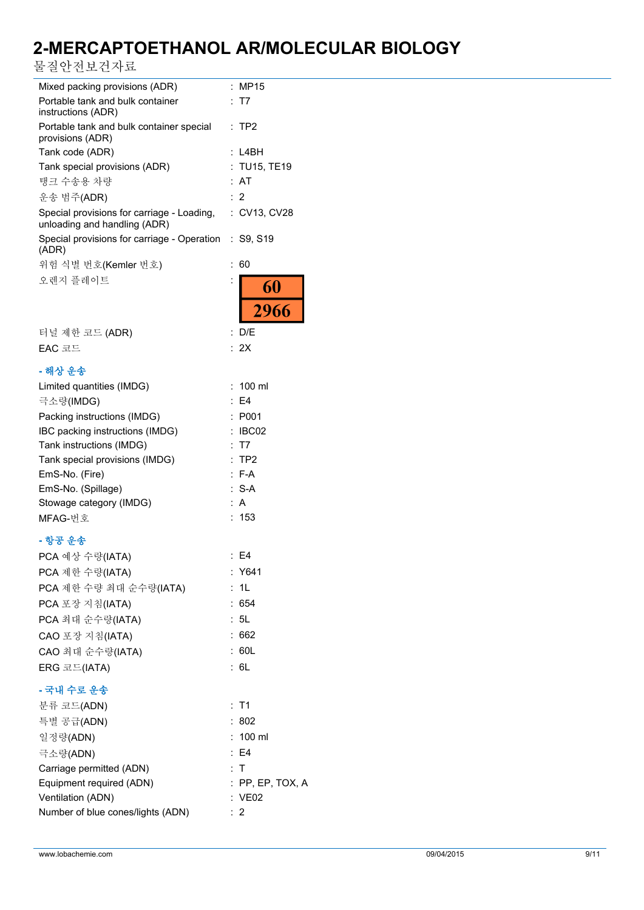물질안전보건자료

| Mixed packing provisions (ADR)                                             | ÷<br><b>MP15</b>   |
|----------------------------------------------------------------------------|--------------------|
| Portable tank and bulk container<br>instructions (ADR)                     | ÷<br>T7            |
| Portable tank and bulk container special<br>provisions (ADR)               | $:$ TP2            |
| Tank code (ADR)                                                            | L4BH               |
| Tank special provisions (ADR)                                              | <b>TU15, TE19</b>  |
| 탱크 수송용 차량                                                                  | AT                 |
| 운송 범주(ADR)                                                                 | : 2                |
| Special provisions for carriage - Loading,<br>unloading and handling (ADR) | : CV13, CV28       |
| Special provisions for carriage - Operation : S9, S19<br>(ADR)             |                    |
| 위험 식별 번호(Kemler 번호)                                                        | 60                 |
| 오렌지 플레이트                                                                   | :                  |
|                                                                            | 60<br>2966         |
|                                                                            |                    |
| 터널 제한 코드 (ADR)                                                             | : D/E              |
| EAC 코드                                                                     | 2X<br>۰.           |
| - 해상 운송                                                                    |                    |
| Limited quantities (IMDG)                                                  | 100 ml             |
| 극소량(IMDG)                                                                  | E4                 |
| Packing instructions (IMDG)                                                | P001<br>÷          |
| IBC packing instructions (IMDG)                                            | IBC02              |
| Tank instructions (IMDG)                                                   | T7                 |
| Tank special provisions (IMDG)                                             | TP <sub>2</sub>    |
| EmS-No. (Fire)                                                             | $: F-A$            |
| EmS-No. (Spillage)                                                         | $S-A$<br>÷.        |
| Stowage category (IMDG)                                                    | A                  |
| MFAG-번호                                                                    | 153                |
|                                                                            |                    |
| - 항공 운송                                                                    | $E = 54$           |
| PCA 예상 수량(IATA)                                                            |                    |
| PCA 제한 수량(IATA)                                                            | : Y641             |
| PCA 제한 수량 최대 순수량(IATA)                                                     | 1 <sub>L</sub>     |
| PCA 포장 지침(IATA)                                                            | : 654              |
| PCA 최대 순수량(IATA)                                                           | : 5L               |
| CAO 포장 지침(IATA)                                                            | :662               |
| CAO 최대 순수량(IATA)                                                           | : 60L              |
| ERG 코드(IATA)                                                               | : 6L               |
| - 국내 수로 운송                                                                 |                    |
| 분류 코드(ADN)                                                                 | : T1               |
| 특별 공급(ADN)                                                                 | :802               |
| 일정량(ADN)                                                                   | $: 100$ ml         |
| 극소량(ADN)                                                                   | : E4               |
| Carriage permitted (ADN)                                                   | : T                |
| Equipment required (ADN)                                                   | $:$ PP, EP, TOX, A |
| Ventilation (ADN)                                                          | : VE02             |
| Number of blue cones/lights (ADN)                                          | $\therefore$ 2     |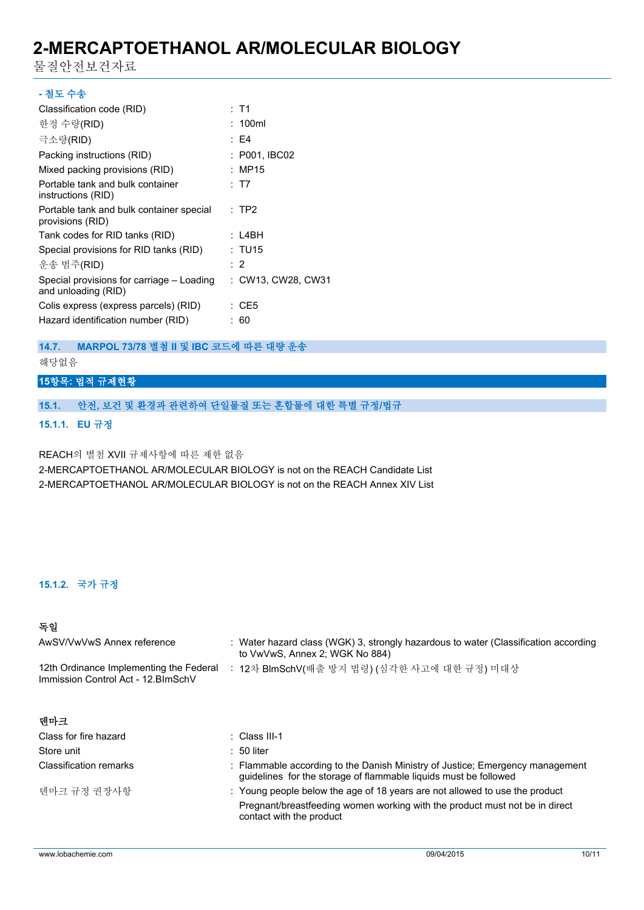물질안전보건자료

| - 철도 수송                                                          |                    |
|------------------------------------------------------------------|--------------------|
| Classification code (RID)                                        | : T1               |
| 한정 수량(RID)                                                       | : 100ml            |
| 극소량(RID)                                                         | : F4               |
| Packing instructions (RID)                                       | : P001, IBC02      |
| Mixed packing provisions (RID)                                   | : MP15             |
| Portable tank and bulk container<br>instructions (RID)           | : T7               |
| Portable tank and bulk container special<br>provisions (RID)     | :TP2               |
| Tank codes for RID tanks (RID)                                   | : L4BH             |
| Special provisions for RID tanks (RID)                           | : TU15             |
| 운송 범주(RID)                                                       | : 2                |
| Special provisions for carriage – Loading<br>and unloading (RID) | : CW13, CW28, CW31 |
| Colis express (express parcels) (RID)                            | : CE5              |
| Hazard identification number (RID)                               | : 60               |
|                                                                  |                    |

#### **14.7. MARPOL 73/78 별첨 II 및 IBC 코드에 따른 대량 운송**

### 해당없음

### **15항목: 법적 규제현황**

#### **15.1. 안전, 보건 및 환경과 관련하여 단일물질 또는 혼합물에 대한 특별 규정/법규**

#### **15.1.1. EU 규정**

REACH의 별첨 XVII 규제사항에 따른 제한 없음 2-MERCAPTOETHANOL AR/MOLECULAR BIOLOGY is not on the REACH Candidate List 2-MERCAPTOETHANOL AR/MOLECULAR BIOLOGY is not on the REACH Annex XIV List

#### **15.1.2. 국가 규정**

## **독일**

| AwSV/VwVwS Annex reference                                                     | : Water hazard class (WGK) 3, strongly hazardous to water (Classification according<br>to VwVwS, Annex 2; WGK No 884)                             |
|--------------------------------------------------------------------------------|---------------------------------------------------------------------------------------------------------------------------------------------------|
| 12th Ordinance Implementing the Federal<br>Immission Control Act - 12. BlmSchV | : 12차 BlmSchV(배출 방지 법령) (심각한 사고에 대한 규정) 미대상                                                                                                       |
| 덴마크                                                                            |                                                                                                                                                   |
| Class for fire hazard                                                          | $\therefore$ Class III-1                                                                                                                          |
| Store unit                                                                     | $: 50$ liter                                                                                                                                      |
| <b>Classification remarks</b>                                                  | : Flammable according to the Danish Ministry of Justice; Emergency management<br>quidelines for the storage of flammable liquids must be followed |
| 덴마크 규정 권장사항                                                                    | : Young people below the age of 18 years are not allowed to use the product                                                                       |
|                                                                                | Pregnant/breastfeeding women working with the product must not be in direct<br>contact with the product                                           |